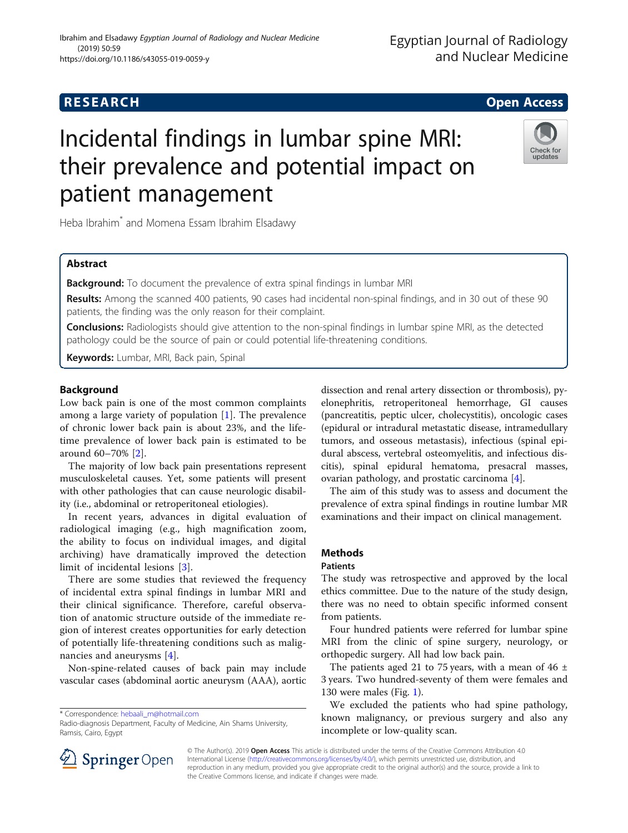Egyptian Journal of Radiology

# Incidental findings in lumbar spine MRI: their prevalence and potential impact on patient management



Heba Ibrahim\* and Momena Essam Ibrahim Elsadawy

# Abstract

**Background:** To document the prevalence of extra spinal findings in lumbar MRI

Results: Among the scanned 400 patients, 90 cases had incidental non-spinal findings, and in 30 out of these 90 patients, the finding was the only reason for their complaint.

Conclusions: Radiologists should give attention to the non-spinal findings in lumbar spine MRI, as the detected pathology could be the source of pain or could potential life-threatening conditions.

Keywords: Lumbar, MRI, Back pain, Spinal

# **Background**

Low back pain is one of the most common complaints among a large variety of population [[1\]](#page-4-0). The prevalence of chronic lower back pain is about 23%, and the lifetime prevalence of lower back pain is estimated to be around 60–70% [\[2](#page-4-0)].

The majority of low back pain presentations represent musculoskeletal causes. Yet, some patients will present with other pathologies that can cause neurologic disability (i.e., abdominal or retroperitoneal etiologies).

In recent years, advances in digital evaluation of radiological imaging (e.g., high magnification zoom, the ability to focus on individual images, and digital archiving) have dramatically improved the detection limit of incidental lesions [[3\]](#page-4-0).

There are some studies that reviewed the frequency of incidental extra spinal findings in lumbar MRI and their clinical significance. Therefore, careful observation of anatomic structure outside of the immediate region of interest creates opportunities for early detection of potentially life-threatening conditions such as malignancies and aneurysms [\[4](#page-4-0)].

Non-spine-related causes of back pain may include vascular cases (abdominal aortic aneurysm (AAA), aortic

\* Correspondence: [hebaali\\_m@hotmail.com](mailto:hebaali_m@hotmail.com)

dissection and renal artery dissection or thrombosis), pyelonephritis, retroperitoneal hemorrhage, GI causes (pancreatitis, peptic ulcer, cholecystitis), oncologic cases (epidural or intradural metastatic disease, intramedullary tumors, and osseous metastasis), infectious (spinal epidural abscess, vertebral osteomyelitis, and infectious discitis), spinal epidural hematoma, presacral masses, ovarian pathology, and prostatic carcinoma [[4\]](#page-4-0).

The aim of this study was to assess and document the prevalence of extra spinal findings in routine lumbar MR examinations and their impact on clinical management.

# Methods

# Patients

The study was retrospective and approved by the local ethics committee. Due to the nature of the study design, there was no need to obtain specific informed consent from patients.

Four hundred patients were referred for lumbar spine MRI from the clinic of spine surgery, neurology, or orthopedic surgery. All had low back pain.

The patients aged 21 to 75 years, with a mean of 46  $\pm$ 3 years. Two hundred-seventy of them were females and 130 were males (Fig. [1](#page-1-0)).

We excluded the patients who had spine pathology, known malignancy, or previous surgery and also any incomplete or low-quality scan.



© The Author(s). 2019 Open Access This article is distributed under the terms of the Creative Commons Attribution 4.0 International License ([http://creativecommons.org/licenses/by/4.0/\)](http://creativecommons.org/licenses/by/4.0/), which permits unrestricted use, distribution, and reproduction in any medium, provided you give appropriate credit to the original author(s) and the source, provide a link to the Creative Commons license, and indicate if changes were made.

Radio-diagnosis Department, Faculty of Medicine, Ain Shams University, Ramsis, Cairo, Egypt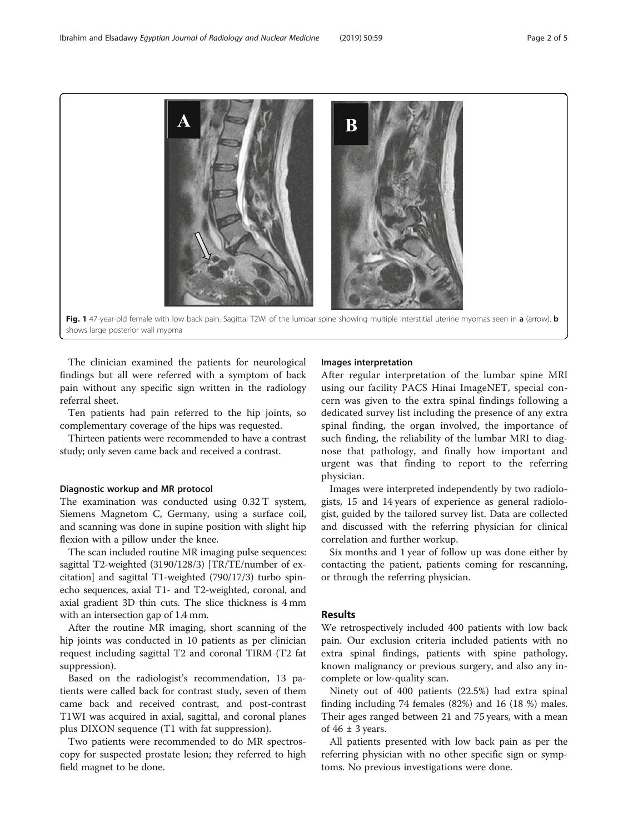<span id="page-1-0"></span>

The clinician examined the patients for neurological findings but all were referred with a symptom of back pain without any specific sign written in the radiology referral sheet.

Ten patients had pain referred to the hip joints, so complementary coverage of the hips was requested.

Thirteen patients were recommended to have a contrast study; only seven came back and received a contrast.

# Diagnostic workup and MR protocol

The examination was conducted using 0.32 T system, Siemens Magnetom C, Germany, using a surface coil, and scanning was done in supine position with slight hip flexion with a pillow under the knee.

The scan included routine MR imaging pulse sequences: sagittal T2-weighted (3190/128/3) [TR/TE/number of excitation] and sagittal T1-weighted (790/17/3) turbo spinecho sequences, axial T1- and T2-weighted, coronal, and axial gradient 3D thin cuts. The slice thickness is 4 mm with an intersection gap of 1.4 mm.

After the routine MR imaging, short scanning of the hip joints was conducted in 10 patients as per clinician request including sagittal T2 and coronal TIRM (T2 fat suppression).

Based on the radiologist's recommendation, 13 patients were called back for contrast study, seven of them came back and received contrast, and post-contrast T1WI was acquired in axial, sagittal, and coronal planes plus DIXON sequence (T1 with fat suppression).

Two patients were recommended to do MR spectroscopy for suspected prostate lesion; they referred to high field magnet to be done.

# Images interpretation

After regular interpretation of the lumbar spine MRI using our facility PACS Hinai ImageNET, special concern was given to the extra spinal findings following a dedicated survey list including the presence of any extra spinal finding, the organ involved, the importance of such finding, the reliability of the lumbar MRI to diagnose that pathology, and finally how important and urgent was that finding to report to the referring physician.

Images were interpreted independently by two radiologists, 15 and 14 years of experience as general radiologist, guided by the tailored survey list. Data are collected and discussed with the referring physician for clinical correlation and further workup.

Six months and 1 year of follow up was done either by contacting the patient, patients coming for rescanning, or through the referring physician.

# Results

We retrospectively included 400 patients with low back pain. Our exclusion criteria included patients with no extra spinal findings, patients with spine pathology, known malignancy or previous surgery, and also any incomplete or low-quality scan.

Ninety out of 400 patients (22.5%) had extra spinal finding including 74 females (82%) and 16 (18 %) males. Their ages ranged between 21 and 75 years, with a mean of  $46 \pm 3$  years.

All patients presented with low back pain as per the referring physician with no other specific sign or symptoms. No previous investigations were done.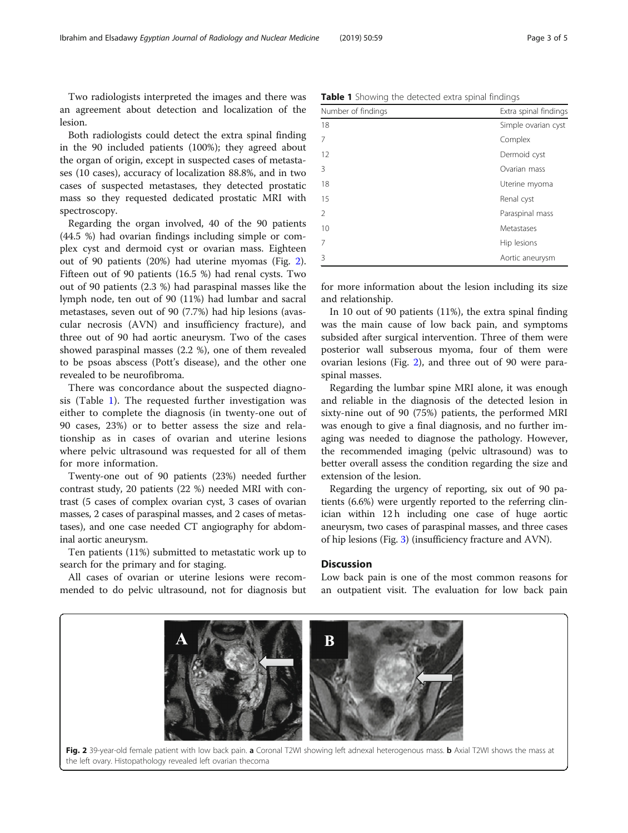Two radiologists interpreted the images and there was an agreement about detection and localization of the lesion.

Both radiologists could detect the extra spinal finding in the 90 included patients (100%); they agreed about the organ of origin, except in suspected cases of metastases (10 cases), accuracy of localization 88.8%, and in two cases of suspected metastases, they detected prostatic mass so they requested dedicated prostatic MRI with spectroscopy.

Regarding the organ involved, 40 of the 90 patients (44.5 %) had ovarian findings including simple or complex cyst and dermoid cyst or ovarian mass. Eighteen out of 90 patients (20%) had uterine myomas (Fig. 2). Fifteen out of 90 patients (16.5 %) had renal cysts. Two out of 90 patients (2.3 %) had paraspinal masses like the lymph node, ten out of 90 (11%) had lumbar and sacral metastases, seven out of 90 (7.7%) had hip lesions (avascular necrosis (AVN) and insufficiency fracture), and three out of 90 had aortic aneurysm. Two of the cases showed paraspinal masses (2.2 %), one of them revealed to be psoas abscess (Pott's disease), and the other one revealed to be neurofibroma.

There was concordance about the suspected diagnosis (Table 1). The requested further investigation was either to complete the diagnosis (in twenty-one out of 90 cases, 23%) or to better assess the size and relationship as in cases of ovarian and uterine lesions where pelvic ultrasound was requested for all of them for more information.

Twenty-one out of 90 patients (23%) needed further contrast study, 20 patients (22 %) needed MRI with contrast (5 cases of complex ovarian cyst, 3 cases of ovarian masses, 2 cases of paraspinal masses, and 2 cases of metastases), and one case needed CT angiography for abdominal aortic aneurysm.

Ten patients (11%) submitted to metastatic work up to search for the primary and for staging.

All cases of ovarian or uterine lesions were recommended to do pelvic ultrasound, not for diagnosis but

| Number of findings | Extra spinal findings            |
|--------------------|----------------------------------|
| 10                 | الهمزيم المتماين مراجع والمتمملة |

Table 1 Showing the detected extra spinal findings

| number or midnigs | LAGU JPINUL IINUNGJ |
|-------------------|---------------------|
| 18                | Simple ovarian cyst |
| 7                 | Complex             |
| 12                | Dermoid cyst        |
| 3                 | Ovarian mass        |
| 18                | Uterine myoma       |
| 15                | Renal cyst          |
| $\overline{2}$    | Paraspinal mass     |
| 10                | Metastases          |
| $\overline{7}$    | Hip lesions         |
| 3                 | Aortic aneurysm     |

for more information about the lesion including its size and relationship.

In 10 out of 90 patients (11%), the extra spinal finding was the main cause of low back pain, and symptoms subsided after surgical intervention. Three of them were posterior wall subserous myoma, four of them were ovarian lesions (Fig. 2), and three out of 90 were paraspinal masses.

Regarding the lumbar spine MRI alone, it was enough and reliable in the diagnosis of the detected lesion in sixty-nine out of 90 (75%) patients, the performed MRI was enough to give a final diagnosis, and no further imaging was needed to diagnose the pathology. However, the recommended imaging (pelvic ultrasound) was to better overall assess the condition regarding the size and extension of the lesion.

Regarding the urgency of reporting, six out of 90 patients (6.6%) were urgently reported to the referring clinician within 12 h including one case of huge aortic aneurysm, two cases of paraspinal masses, and three cases of hip lesions (Fig. [3\)](#page-3-0) (insufficiency fracture and AVN).

#### **Discussion**

Low back pain is one of the most common reasons for an outpatient visit. The evaluation for low back pain

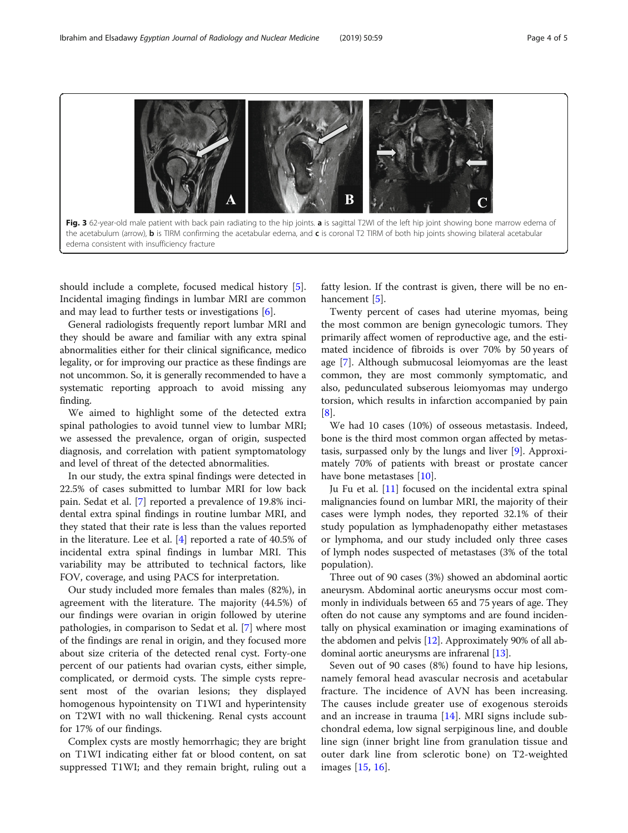<span id="page-3-0"></span>

should include a complete, focused medical history [\[5](#page-4-0)]. Incidental imaging findings in lumbar MRI are common and may lead to further tests or investigations  $[6]$  $[6]$ .

General radiologists frequently report lumbar MRI and they should be aware and familiar with any extra spinal abnormalities either for their clinical significance, medico legality, or for improving our practice as these findings are not uncommon. So, it is generally recommended to have a systematic reporting approach to avoid missing any finding.

We aimed to highlight some of the detected extra spinal pathologies to avoid tunnel view to lumbar MRI; we assessed the prevalence, organ of origin, suspected diagnosis, and correlation with patient symptomatology and level of threat of the detected abnormalities.

In our study, the extra spinal findings were detected in 22.5% of cases submitted to lumbar MRI for low back pain. Sedat et al. [[7\]](#page-4-0) reported a prevalence of 19.8% incidental extra spinal findings in routine lumbar MRI, and they stated that their rate is less than the values reported in the literature. Lee et al. [[4](#page-4-0)] reported a rate of 40.5% of incidental extra spinal findings in lumbar MRI. This variability may be attributed to technical factors, like FOV, coverage, and using PACS for interpretation.

Our study included more females than males (82%), in agreement with the literature. The majority (44.5%) of our findings were ovarian in origin followed by uterine pathologies, in comparison to Sedat et al. [[7\]](#page-4-0) where most of the findings are renal in origin, and they focused more about size criteria of the detected renal cyst. Forty-one percent of our patients had ovarian cysts, either simple, complicated, or dermoid cysts. The simple cysts represent most of the ovarian lesions; they displayed homogenous hypointensity on T1WI and hyperintensity on T2WI with no wall thickening. Renal cysts account for 17% of our findings.

Complex cysts are mostly hemorrhagic; they are bright on T1WI indicating either fat or blood content, on sat suppressed T1WI; and they remain bright, ruling out a fatty lesion. If the contrast is given, there will be no en-hancement [[5\]](#page-4-0).

Twenty percent of cases had uterine myomas, being the most common are benign gynecologic tumors. They primarily affect women of reproductive age, and the estimated incidence of fibroids is over 70% by 50 years of age [\[7](#page-4-0)]. Although submucosal leiomyomas are the least common, they are most commonly symptomatic, and also, pedunculated subserous leiomyomas may undergo torsion, which results in infarction accompanied by pain [[8\]](#page-4-0).

We had 10 cases (10%) of osseous metastasis. Indeed, bone is the third most common organ affected by metastasis, surpassed only by the lungs and liver [[9\]](#page-4-0). Approximately 70% of patients with breast or prostate cancer have bone metastases [[10\]](#page-4-0).

Ju Fu et al. [\[11](#page-4-0)] focused on the incidental extra spinal malignancies found on lumbar MRI, the majority of their cases were lymph nodes, they reported 32.1% of their study population as lymphadenopathy either metastases or lymphoma, and our study included only three cases of lymph nodes suspected of metastases (3% of the total population).

Three out of 90 cases (3%) showed an abdominal aortic aneurysm. Abdominal aortic aneurysms occur most commonly in individuals between 65 and 75 years of age. They often do not cause any symptoms and are found incidentally on physical examination or imaging examinations of the abdomen and pelvis  $[12]$ . Approximately 90% of all abdominal aortic aneurysms are infrarenal [[13](#page-4-0)].

Seven out of 90 cases (8%) found to have hip lesions, namely femoral head avascular necrosis and acetabular fracture. The incidence of AVN has been increasing. The causes include greater use of exogenous steroids and an increase in trauma [[14\]](#page-4-0). MRI signs include subchondral edema, low signal serpiginous line, and double line sign (inner bright line from granulation tissue and outer dark line from sclerotic bone) on T2-weighted images [\[15](#page-4-0), [16\]](#page-4-0).